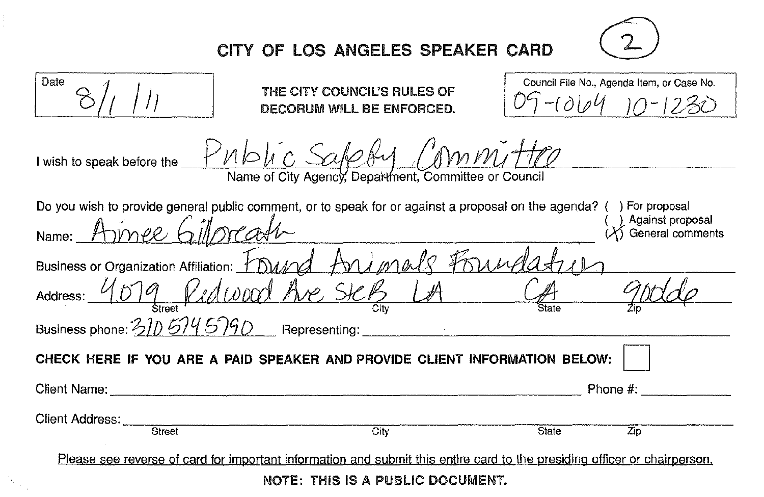

## CITY OF LOS ANGELES SPEAKER CARD

| Date                                                                                                                      | THE CITY COUNCIL'S RULES OF<br>DECORUM WILL BE ENFORCED. | Council File No., Agenda Item, or Case No.<br>$9 - (1004 - 10 - 123)$ |     |  |
|---------------------------------------------------------------------------------------------------------------------------|----------------------------------------------------------|-----------------------------------------------------------------------|-----|--|
| I wish to speak before the Public Sakeby Committe<br>Name of City Agency, Department, Committee or Council                |                                                          |                                                                       |     |  |
| Do you wish to provide general public comment, or to speak for or against a proposal on the agenda? () For proposal       |                                                          |                                                                       |     |  |
| Name: Armee Gillpreash                                                                                                    |                                                          | Against proposal<br>General comments                                  |     |  |
| Business or Organization Affiliation: Found Animals Foundat                                                               |                                                          |                                                                       |     |  |
| Address: 4079 Redwood Ave Step LA (A)                                                                                     |                                                          |                                                                       |     |  |
| Business phone: 310 574 5790 Representing:                                                                                |                                                          |                                                                       |     |  |
| CHECK HERE IF YOU ARE A PAID SPEAKER AND PROVIDE CLIENT INFORMATION BELOW:                                                |                                                          |                                                                       |     |  |
|                                                                                                                           |                                                          | Phone $\#$ :                                                          |     |  |
| Client Address: _____<br>Street                                                                                           | $\overline{\text{Citv}}$                                 | State                                                                 | Zip |  |
|                                                                                                                           |                                                          |                                                                       |     |  |
| Please see reverse of card for important information and submit this entire card to the presiding officer or chairperson. |                                                          |                                                                       |     |  |
| NOTE: THIS IS A PUBLIC DOCUMENT.                                                                                          |                                                          |                                                                       |     |  |